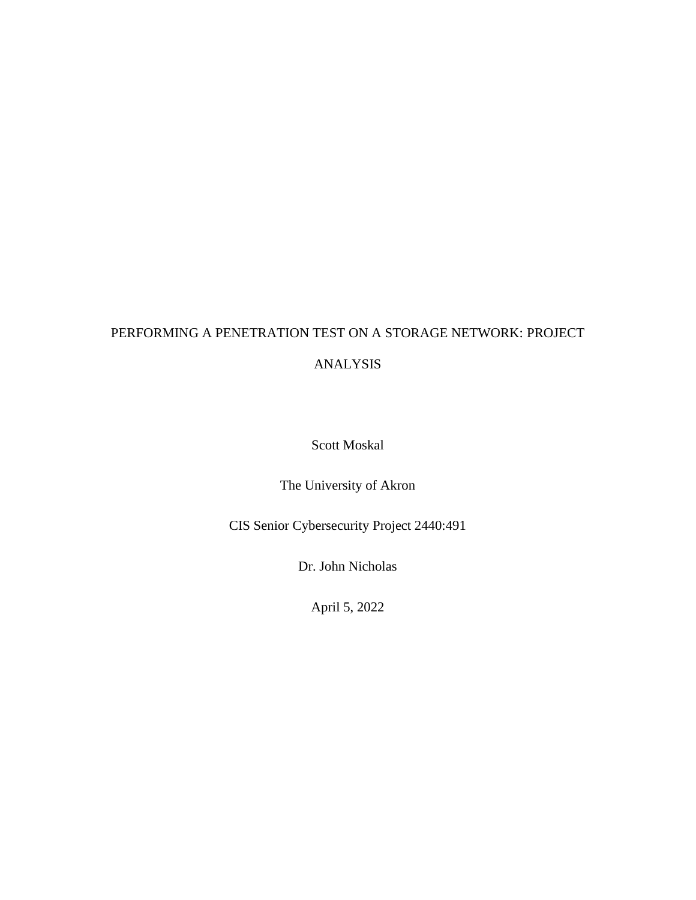# PERFORMING A PENETRATION TEST ON A STORAGE NETWORK: PROJECT

# ANALYSIS

Scott Moskal

The University of Akron

CIS Senior Cybersecurity Project 2440:491

Dr. John Nicholas

April 5, 2022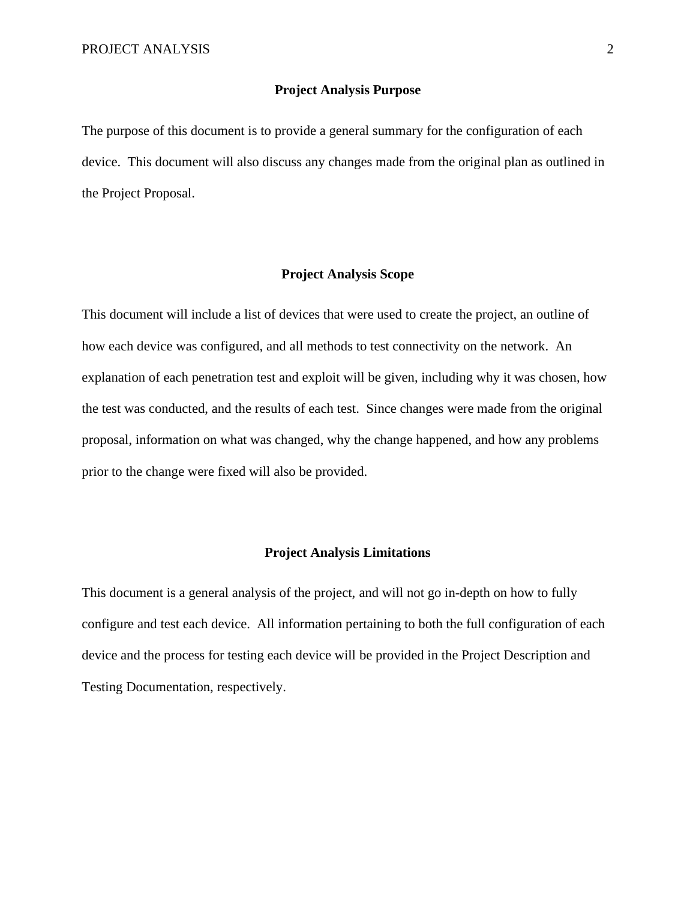### **Project Analysis Purpose**

The purpose of this document is to provide a general summary for the configuration of each device. This document will also discuss any changes made from the original plan as outlined in the Project Proposal.

# **Project Analysis Scope**

This document will include a list of devices that were used to create the project, an outline of how each device was configured, and all methods to test connectivity on the network. An explanation of each penetration test and exploit will be given, including why it was chosen, how the test was conducted, and the results of each test. Since changes were made from the original proposal, information on what was changed, why the change happened, and how any problems prior to the change were fixed will also be provided.

# **Project Analysis Limitations**

This document is a general analysis of the project, and will not go in-depth on how to fully configure and test each device. All information pertaining to both the full configuration of each device and the process for testing each device will be provided in the Project Description and Testing Documentation, respectively.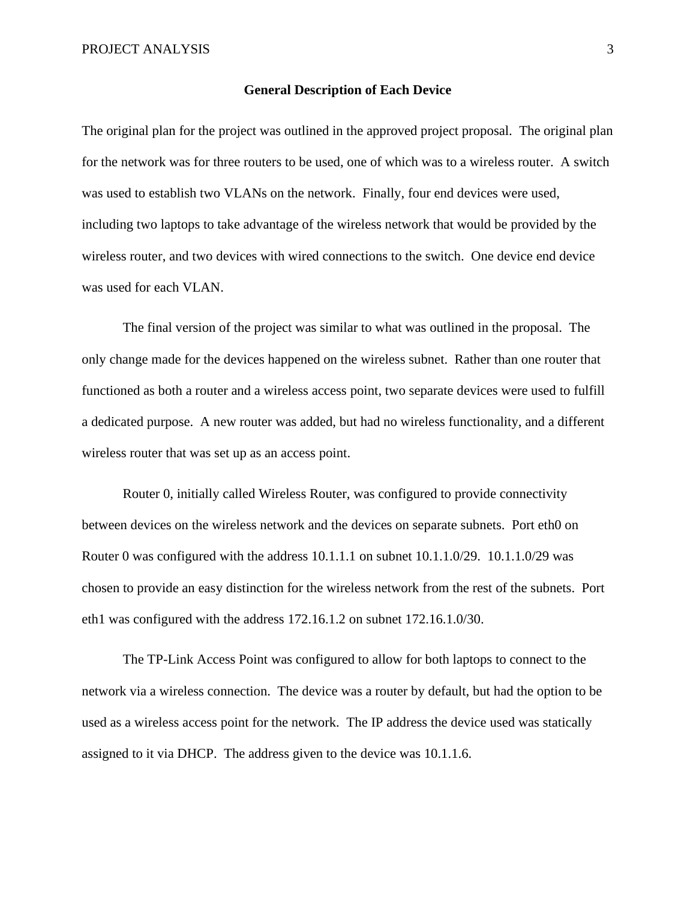#### **General Description of Each Device**

The original plan for the project was outlined in the approved project proposal. The original plan for the network was for three routers to be used, one of which was to a wireless router. A switch was used to establish two VLANs on the network. Finally, four end devices were used, including two laptops to take advantage of the wireless network that would be provided by the wireless router, and two devices with wired connections to the switch. One device end device was used for each VLAN.

The final version of the project was similar to what was outlined in the proposal. The only change made for the devices happened on the wireless subnet. Rather than one router that functioned as both a router and a wireless access point, two separate devices were used to fulfill a dedicated purpose. A new router was added, but had no wireless functionality, and a different wireless router that was set up as an access point.

Router 0, initially called Wireless Router, was configured to provide connectivity between devices on the wireless network and the devices on separate subnets. Port eth0 on Router 0 was configured with the address 10.1.1.1 on subnet 10.1.1.0/29. 10.1.1.0/29 was chosen to provide an easy distinction for the wireless network from the rest of the subnets. Port eth1 was configured with the address 172.16.1.2 on subnet 172.16.1.0/30.

The TP-Link Access Point was configured to allow for both laptops to connect to the network via a wireless connection. The device was a router by default, but had the option to be used as a wireless access point for the network. The IP address the device used was statically assigned to it via DHCP. The address given to the device was 10.1.1.6.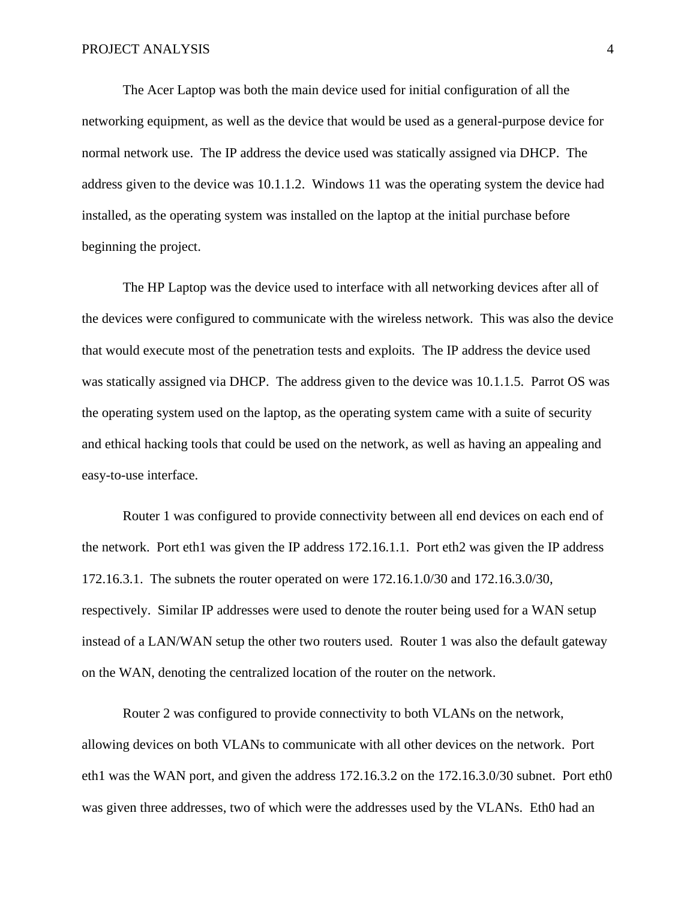The Acer Laptop was both the main device used for initial configuration of all the networking equipment, as well as the device that would be used as a general-purpose device for normal network use. The IP address the device used was statically assigned via DHCP. The address given to the device was 10.1.1.2. Windows 11 was the operating system the device had installed, as the operating system was installed on the laptop at the initial purchase before beginning the project.

The HP Laptop was the device used to interface with all networking devices after all of the devices were configured to communicate with the wireless network. This was also the device that would execute most of the penetration tests and exploits. The IP address the device used was statically assigned via DHCP. The address given to the device was 10.1.1.5. Parrot OS was the operating system used on the laptop, as the operating system came with a suite of security and ethical hacking tools that could be used on the network, as well as having an appealing and easy-to-use interface.

Router 1 was configured to provide connectivity between all end devices on each end of the network. Port eth1 was given the IP address 172.16.1.1. Port eth2 was given the IP address 172.16.3.1. The subnets the router operated on were 172.16.1.0/30 and 172.16.3.0/30, respectively. Similar IP addresses were used to denote the router being used for a WAN setup instead of a LAN/WAN setup the other two routers used. Router 1 was also the default gateway on the WAN, denoting the centralized location of the router on the network.

Router 2 was configured to provide connectivity to both VLANs on the network, allowing devices on both VLANs to communicate with all other devices on the network. Port eth1 was the WAN port, and given the address 172.16.3.2 on the 172.16.3.0/30 subnet. Port eth0 was given three addresses, two of which were the addresses used by the VLANs. Eth0 had an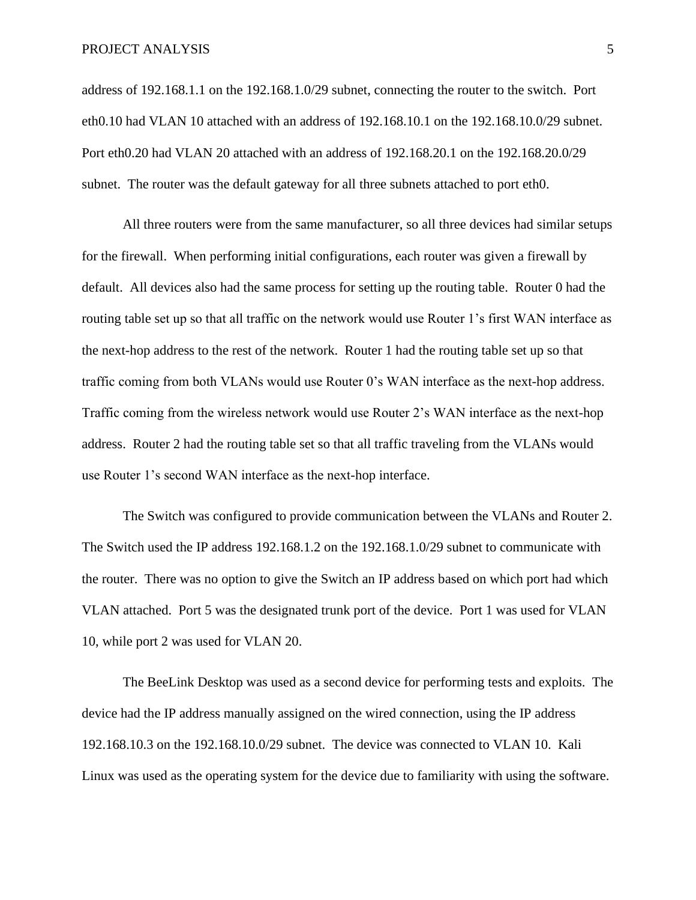address of 192.168.1.1 on the 192.168.1.0/29 subnet, connecting the router to the switch. Port eth0.10 had VLAN 10 attached with an address of 192.168.10.1 on the 192.168.10.0/29 subnet. Port eth0.20 had VLAN 20 attached with an address of 192.168.20.1 on the 192.168.20.0/29 subnet. The router was the default gateway for all three subnets attached to port eth0.

All three routers were from the same manufacturer, so all three devices had similar setups for the firewall. When performing initial configurations, each router was given a firewall by default. All devices also had the same process for setting up the routing table. Router 0 had the routing table set up so that all traffic on the network would use Router 1's first WAN interface as the next-hop address to the rest of the network. Router 1 had the routing table set up so that traffic coming from both VLANs would use Router 0's WAN interface as the next-hop address. Traffic coming from the wireless network would use Router 2's WAN interface as the next-hop address. Router 2 had the routing table set so that all traffic traveling from the VLANs would use Router 1's second WAN interface as the next-hop interface.

The Switch was configured to provide communication between the VLANs and Router 2. The Switch used the IP address 192.168.1.2 on the 192.168.1.0/29 subnet to communicate with the router. There was no option to give the Switch an IP address based on which port had which VLAN attached. Port 5 was the designated trunk port of the device. Port 1 was used for VLAN 10, while port 2 was used for VLAN 20.

The BeeLink Desktop was used as a second device for performing tests and exploits. The device had the IP address manually assigned on the wired connection, using the IP address 192.168.10.3 on the 192.168.10.0/29 subnet. The device was connected to VLAN 10. Kali Linux was used as the operating system for the device due to familiarity with using the software.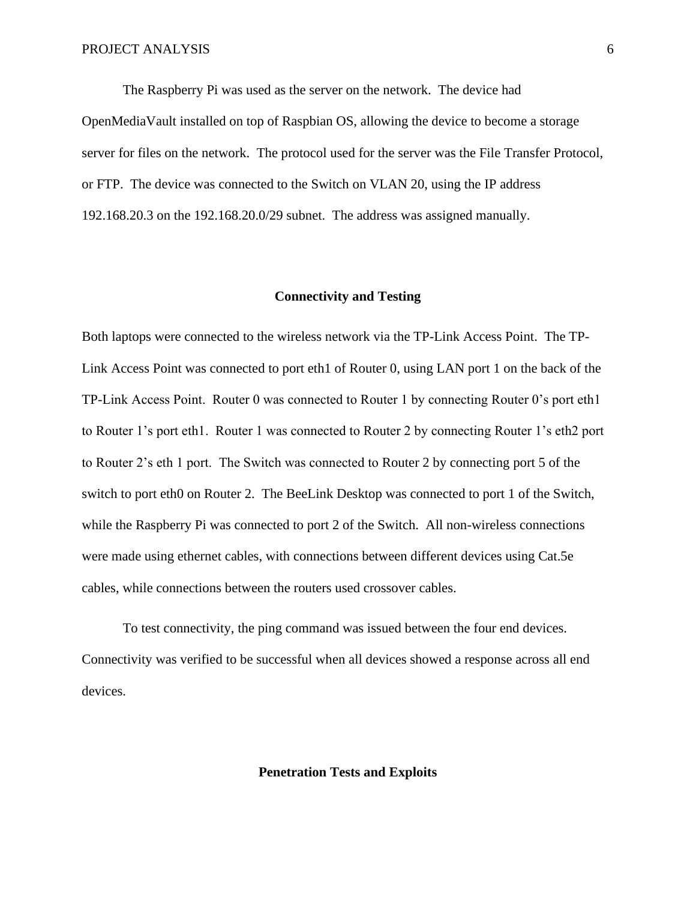The Raspberry Pi was used as the server on the network. The device had OpenMediaVault installed on top of Raspbian OS, allowing the device to become a storage server for files on the network. The protocol used for the server was the File Transfer Protocol, or FTP. The device was connected to the Switch on VLAN 20, using the IP address 192.168.20.3 on the 192.168.20.0/29 subnet. The address was assigned manually.

# **Connectivity and Testing**

Both laptops were connected to the wireless network via the TP-Link Access Point. The TP-Link Access Point was connected to port eth1 of Router 0, using LAN port 1 on the back of the TP-Link Access Point. Router 0 was connected to Router 1 by connecting Router 0's port eth1 to Router 1's port eth1. Router 1 was connected to Router 2 by connecting Router 1's eth2 port to Router 2's eth 1 port. The Switch was connected to Router 2 by connecting port 5 of the switch to port eth0 on Router 2. The BeeLink Desktop was connected to port 1 of the Switch, while the Raspberry Pi was connected to port 2 of the Switch. All non-wireless connections were made using ethernet cables, with connections between different devices using Cat.5e cables, while connections between the routers used crossover cables.

To test connectivity, the ping command was issued between the four end devices. Connectivity was verified to be successful when all devices showed a response across all end devices.

# **Penetration Tests and Exploits**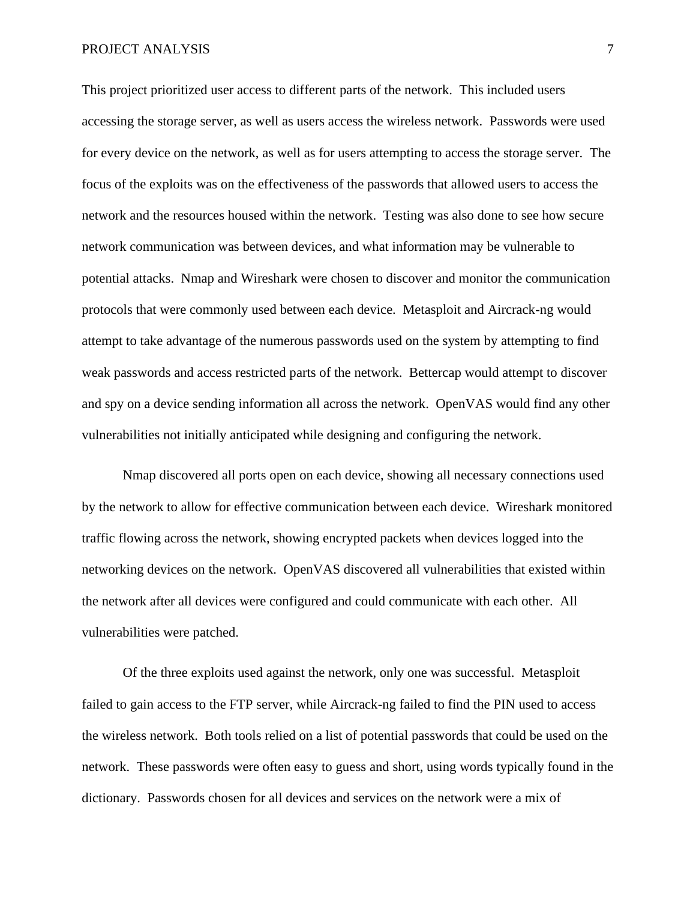#### PROJECT ANALYSIS 7

This project prioritized user access to different parts of the network. This included users accessing the storage server, as well as users access the wireless network. Passwords were used for every device on the network, as well as for users attempting to access the storage server. The focus of the exploits was on the effectiveness of the passwords that allowed users to access the network and the resources housed within the network. Testing was also done to see how secure network communication was between devices, and what information may be vulnerable to potential attacks. Nmap and Wireshark were chosen to discover and monitor the communication protocols that were commonly used between each device. Metasploit and Aircrack-ng would attempt to take advantage of the numerous passwords used on the system by attempting to find weak passwords and access restricted parts of the network. Bettercap would attempt to discover and spy on a device sending information all across the network. OpenVAS would find any other vulnerabilities not initially anticipated while designing and configuring the network.

Nmap discovered all ports open on each device, showing all necessary connections used by the network to allow for effective communication between each device. Wireshark monitored traffic flowing across the network, showing encrypted packets when devices logged into the networking devices on the network. OpenVAS discovered all vulnerabilities that existed within the network after all devices were configured and could communicate with each other. All vulnerabilities were patched.

Of the three exploits used against the network, only one was successful. Metasploit failed to gain access to the FTP server, while Aircrack-ng failed to find the PIN used to access the wireless network. Both tools relied on a list of potential passwords that could be used on the network. These passwords were often easy to guess and short, using words typically found in the dictionary. Passwords chosen for all devices and services on the network were a mix of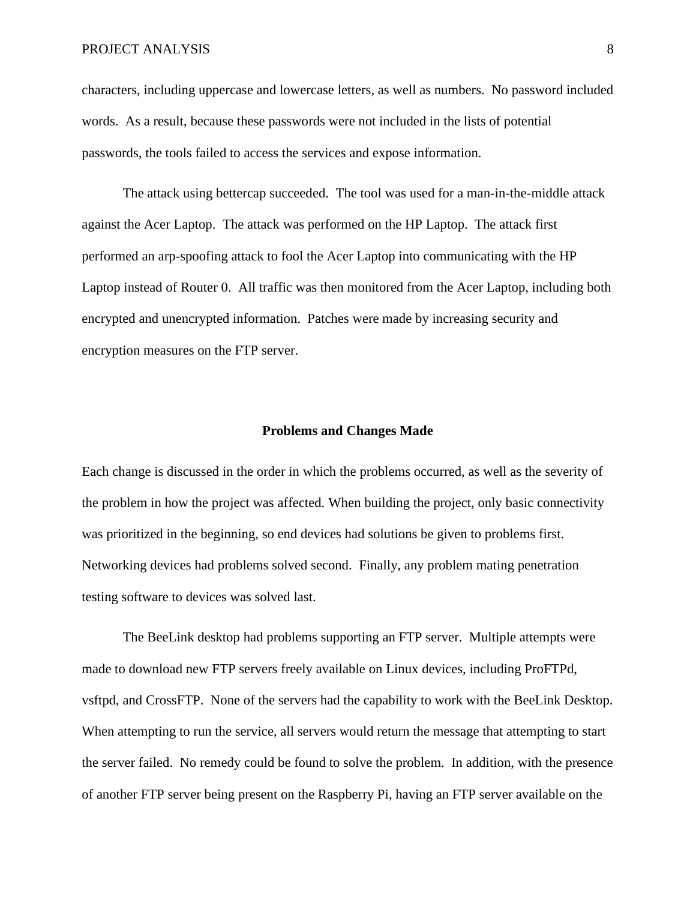# PROJECT ANALYSIS 8

characters, including uppercase and lowercase letters, as well as numbers. No password included words. As a result, because these passwords were not included in the lists of potential passwords, the tools failed to access the services and expose information.

The attack using bettercap succeeded. The tool was used for a man-in-the-middle attack against the Acer Laptop. The attack was performed on the HP Laptop. The attack first performed an arp-spoofing attack to fool the Acer Laptop into communicating with the HP Laptop instead of Router 0. All traffic was then monitored from the Acer Laptop, including both encrypted and unencrypted information. Patches were made by increasing security and encryption measures on the FTP server.

# **Problems and Changes Made**

Each change is discussed in the order in which the problems occurred, as well as the severity of the problem in how the project was affected. When building the project, only basic connectivity was prioritized in the beginning, so end devices had solutions be given to problems first. Networking devices had problems solved second. Finally, any problem mating penetration testing software to devices was solved last.

The BeeLink desktop had problems supporting an FTP server. Multiple attempts were made to download new FTP servers freely available on Linux devices, including ProFTPd, vsftpd, and CrossFTP. None of the servers had the capability to work with the BeeLink Desktop. When attempting to run the service, all servers would return the message that attempting to start the server failed. No remedy could be found to solve the problem. In addition, with the presence of another FTP server being present on the Raspberry Pi, having an FTP server available on the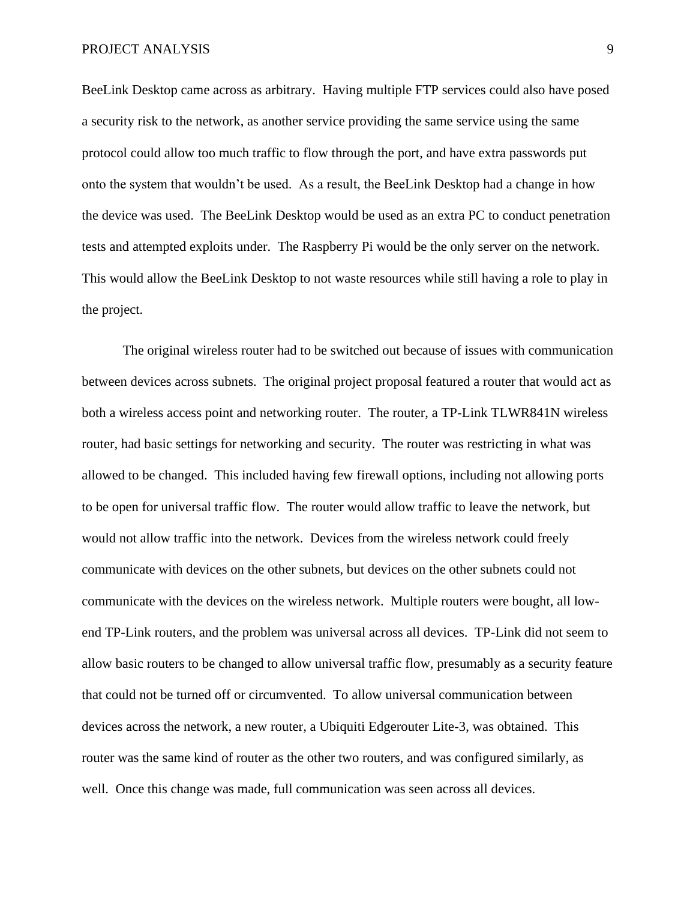BeeLink Desktop came across as arbitrary. Having multiple FTP services could also have posed a security risk to the network, as another service providing the same service using the same protocol could allow too much traffic to flow through the port, and have extra passwords put onto the system that wouldn't be used. As a result, the BeeLink Desktop had a change in how the device was used. The BeeLink Desktop would be used as an extra PC to conduct penetration tests and attempted exploits under. The Raspberry Pi would be the only server on the network. This would allow the BeeLink Desktop to not waste resources while still having a role to play in the project.

The original wireless router had to be switched out because of issues with communication between devices across subnets. The original project proposal featured a router that would act as both a wireless access point and networking router. The router, a TP-Link TLWR841N wireless router, had basic settings for networking and security. The router was restricting in what was allowed to be changed. This included having few firewall options, including not allowing ports to be open for universal traffic flow. The router would allow traffic to leave the network, but would not allow traffic into the network. Devices from the wireless network could freely communicate with devices on the other subnets, but devices on the other subnets could not communicate with the devices on the wireless network. Multiple routers were bought, all lowend TP-Link routers, and the problem was universal across all devices. TP-Link did not seem to allow basic routers to be changed to allow universal traffic flow, presumably as a security feature that could not be turned off or circumvented. To allow universal communication between devices across the network, a new router, a Ubiquiti Edgerouter Lite-3, was obtained. This router was the same kind of router as the other two routers, and was configured similarly, as well. Once this change was made, full communication was seen across all devices.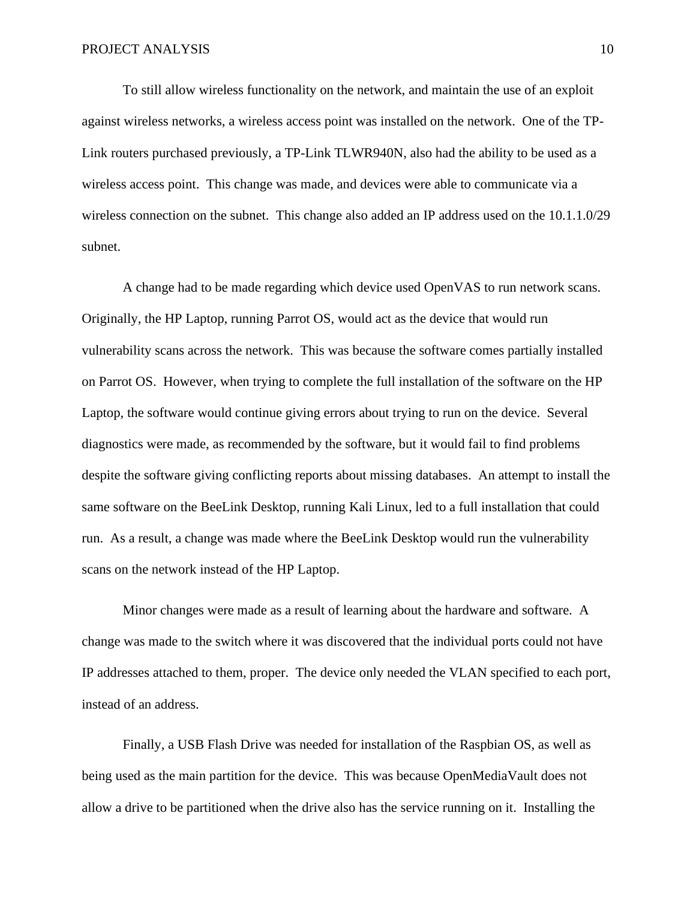To still allow wireless functionality on the network, and maintain the use of an exploit against wireless networks, a wireless access point was installed on the network. One of the TP-Link routers purchased previously, a TP-Link TLWR940N, also had the ability to be used as a wireless access point. This change was made, and devices were able to communicate via a wireless connection on the subnet. This change also added an IP address used on the 10.1.1.0/29 subnet.

A change had to be made regarding which device used OpenVAS to run network scans. Originally, the HP Laptop, running Parrot OS, would act as the device that would run vulnerability scans across the network. This was because the software comes partially installed on Parrot OS. However, when trying to complete the full installation of the software on the HP Laptop, the software would continue giving errors about trying to run on the device. Several diagnostics were made, as recommended by the software, but it would fail to find problems despite the software giving conflicting reports about missing databases. An attempt to install the same software on the BeeLink Desktop, running Kali Linux, led to a full installation that could run. As a result, a change was made where the BeeLink Desktop would run the vulnerability scans on the network instead of the HP Laptop.

Minor changes were made as a result of learning about the hardware and software. A change was made to the switch where it was discovered that the individual ports could not have IP addresses attached to them, proper. The device only needed the VLAN specified to each port, instead of an address.

Finally, a USB Flash Drive was needed for installation of the Raspbian OS, as well as being used as the main partition for the device. This was because OpenMediaVault does not allow a drive to be partitioned when the drive also has the service running on it. Installing the